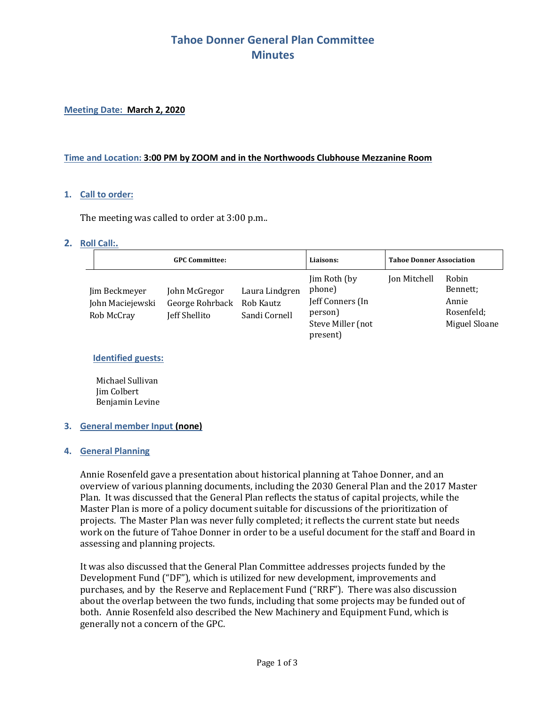# **Tahoe Donner General Plan Committee Minutes**

### **Meeting Date: March 2, 2020**

### **Time and Location: 3:00 PM by ZOOM and in the Northwoods Clubhouse Mezzanine Room**

### **1. Call to order:**

The meeting was called to order at 3:00 p.m..

### **2. Roll Call:.**

| <b>GPC Committee:</b>                           |                                                   |                                              | Liaisons:                                                                              | <b>Tahoe Donner Association</b> |                                                           |
|-------------------------------------------------|---------------------------------------------------|----------------------------------------------|----------------------------------------------------------------------------------------|---------------------------------|-----------------------------------------------------------|
| Jim Beckmeyer<br>John Maciejewski<br>Rob McCray | John McGregor<br>George Rohrback<br>Jeff Shellito | Laura Lindgren<br>Rob Kautz<br>Sandi Cornell | Jim Roth (by<br>phone)<br>Jeff Conners (In<br>person)<br>Steve Miller (not<br>present) | Jon Mitchell                    | Robin<br>Bennett;<br>Annie<br>Rosenfeld;<br>Miguel Sloane |

## **Identified guests:**

Michael Sullivan Jim Colbert Benjamin Levine

#### **3. General member Input (none)**

#### **4. General Planning**

Annie Rosenfeld gave a presentation about historical planning at Tahoe Donner, and an overview of various planning documents, including the 2030 General Plan and the 2017 Master Plan. It was discussed that the General Plan reflects the status of capital projects, while the Master Plan is more of a policy document suitable for discussions of the prioritization of projects. The Master Plan was never fully completed; it reflects the current state but needs work on the future of Tahoe Donner in order to be a useful document for the staff and Board in assessing and planning projects.

It was also discussed that the General Plan Committee addresses projects funded by the Development Fund ("DF"), which is utilized for new development, improvements and purchases, and by the Reserve and Replacement Fund ("RRF"). There was also discussion about the overlap between the two funds, including that some projects may be funded out of both. Annie Rosenfeld also described the New Machinery and Equipment Fund, which is generally not a concern of the GPC.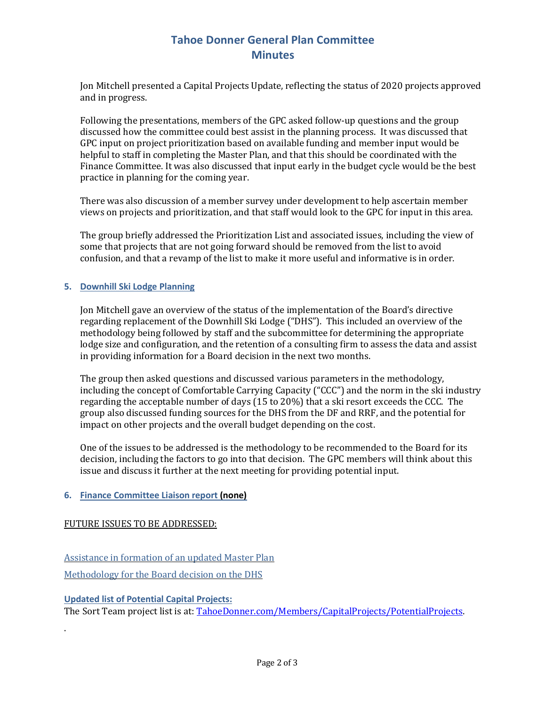# **Tahoe Donner General Plan Committee Minutes**

Jon Mitchell presented a Capital Projects Update, reflecting the status of 2020 projects approved and in progress. 

Following the presentations, members of the GPC asked follow-up questions and the group discussed how the committee could best assist in the planning process. It was discussed that GPC input on project prioritization based on available funding and member input would be helpful to staff in completing the Master Plan, and that this should be coordinated with the Finance Committee. It was also discussed that input early in the budget cycle would be the best practice in planning for the coming year.

There was also discussion of a member survey under development to help ascertain member views on projects and prioritization, and that staff would look to the GPC for input in this area.

The group briefly addressed the Prioritization List and associated issues, including the view of some that projects that are not going forward should be removed from the list to avoid confusion, and that a revamp of the list to make it more useful and informative is in order.

## **5. Downhill Ski Lodge Planning**

Jon Mitchell gave an overview of the status of the implementation of the Board's directive regarding replacement of the Downhill Ski Lodge ("DHS"). This included an overview of the methodology being followed by staff and the subcommittee for determining the appropriate lodge size and configuration, and the retention of a consulting firm to assess the data and assist in providing information for a Board decision in the next two months. 

The group then asked questions and discussed various parameters in the methodology, including the concept of Comfortable Carrying Capacity ("CCC") and the norm in the ski industry regarding the acceptable number of days (15 to 20%) that a ski resort exceeds the CCC. The group also discussed funding sources for the DHS from the DF and RRF, and the potential for impact on other projects and the overall budget depending on the cost. 

One of the issues to be addressed is the methodology to be recommended to the Board for its decision, including the factors to go into that decision. The GPC members will think about this issue and discuss it further at the next meeting for providing potential input. 

# **6. Finance Committee Liaison report (none)**

# FUTURE ISSUES TO BE ADDRESSED:

Assistance in formation of an updated Master Plan

Methodology for the Board decision on the DHS

## **Updated list of Potential Capital Projects:**

.

The Sort Team project list is at: TahoeDonner.com/Members/CapitalProjects/PotentialProjects.